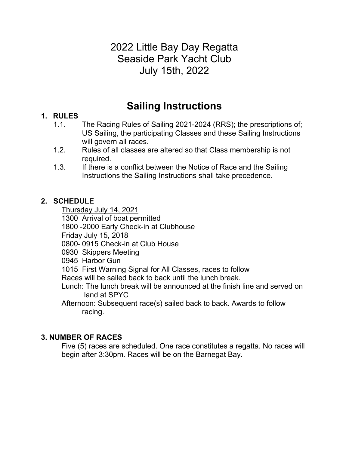2022 Little Bay Day Regatta Seaside Park Yacht Club July 15th, 2022

# **Sailing Instructions**

# **1. RULES**

- 1.1. The Racing Rules of Sailing 2021-2024 (RRS); the prescriptions of; US Sailing, the participating Classes and these Sailing Instructions will govern all races.
- 1.2. Rules of all classes are altered so that Class membership is not required.
- 1.3. If there is a conflict between the Notice of Race and the Sailing Instructions the Sailing Instructions shall take precedence.

# **2. SCHEDULE**

Thursday July 14, 2021

1300 Arrival of boat permitted

1800 -2000 Early Check-in at Clubhouse

Friday July 15, 2018

0800- 0915 Check-in at Club House

0930 Skippers Meeting

0945 Harbor Gun

1015 First Warning Signal for All Classes, races to follow

Races will be sailed back to back until the lunch break.

 Lunch: The lunch break will be announced at the finish line and served on land at SPYC

 Afternoon: Subsequent race(s) sailed back to back. Awards to follow racing.

# **3. NUMBER OF RACES**

Five (5) races are scheduled. One race constitutes a regatta. No races will begin after 3:30pm. Races will be on the Barnegat Bay.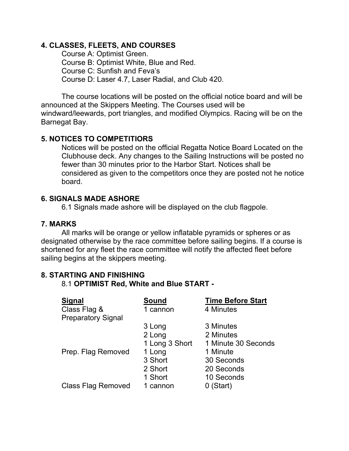#### **4. CLASSES, FLEETS, AND COURSES**

Course A: Optimist Green. Course B: Optimist White, Blue and Red. Course C: Sunfish and Feva's Course D: Laser 4.7, Laser Radial, and Club 420.

 The course locations will be posted on the official notice board and will be announced at the Skippers Meeting. The Courses used will be windward/leewards, port triangles, and modified Olympics. Racing will be on the Barnegat Bay.

#### **5. NOTICES TO COMPETITIORS**

Notices will be posted on the official Regatta Notice Board Located on the Clubhouse deck. Any changes to the Sailing Instructions will be posted no fewer than 30 minutes prior to the Harbor Start. Notices shall be considered as given to the competitors once they are posted not he notice board.

#### **6. SIGNALS MADE ASHORE**

6.1 Signals made ashore will be displayed on the club flagpole.

#### **7. MARKS**

All marks will be orange or yellow inflatable pyramids or spheres or as designated otherwise by the race committee before sailing begins. If a course is shortened for any fleet the race committee will notify the affected fleet before sailing begins at the skippers meeting.

#### **8. STARTING AND FINISHING**

|  |  | 8.1 OPTIMIST Red, White and Blue START - |  |  |  |  |  |  |
|--|--|------------------------------------------|--|--|--|--|--|--|
|--|--|------------------------------------------|--|--|--|--|--|--|

| <b>Signal</b>                             | <b>Sound</b>   | <b>Time Before Start</b> |
|-------------------------------------------|----------------|--------------------------|
| Class Flag &<br><b>Preparatory Signal</b> | 1 cannon       | 4 Minutes                |
|                                           | 3 Long         | 3 Minutes                |
|                                           | 2 Long         | 2 Minutes                |
|                                           | 1 Long 3 Short | 1 Minute 30 Seconds      |
| Prep. Flag Removed                        | 1 Long         | 1 Minute                 |
|                                           | 3 Short        | 30 Seconds               |
|                                           | 2 Short        | 20 Seconds               |
|                                           | 1 Short        | 10 Seconds               |
| <b>Class Flag Removed</b>                 | 1 cannon       | (Start)                  |
|                                           |                |                          |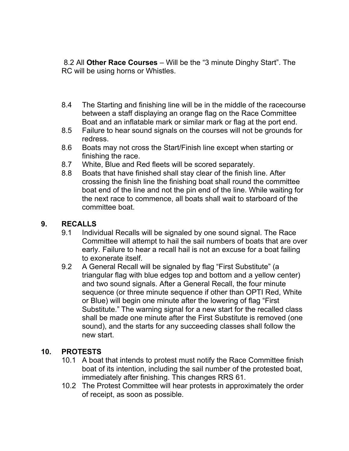8.2 All **Other Race Courses** – Will be the "3 minute Dinghy Start". The RC will be using horns or Whistles.

- 8.4 The Starting and finishing line will be in the middle of the racecourse between a staff displaying an orange flag on the Race Committee Boat and an inflatable mark or similar mark or flag at the port end.
- 8.5 Failure to hear sound signals on the courses will not be grounds for redress.
- 8.6 Boats may not cross the Start/Finish line except when starting or finishing the race.
- 8.7 White, Blue and Red fleets will be scored separately.
- 8.8 Boats that have finished shall stay clear of the finish line. After crossing the finish line the finishing boat shall round the committee boat end of the line and not the pin end of the line. While waiting for the next race to commence, all boats shall wait to starboard of the committee boat.

# **9. RECALLS**

- 9.1 Individual Recalls will be signaled by one sound signal. The Race Committee will attempt to hail the sail numbers of boats that are over early. Failure to hear a recall hail is not an excuse for a boat failing to exonerate itself.
- 9.2 A General Recall will be signaled by flag "First Substitute" (a triangular flag with blue edges top and bottom and a yellow center) and two sound signals. After a General Recall, the four minute sequence (or three minute sequence if other than OPTI Red, White or Blue) will begin one minute after the lowering of flag "First Substitute." The warning signal for a new start for the recalled class shall be made one minute after the First Substitute is removed (one sound), and the starts for any succeeding classes shall follow the new start.

# **10. PROTESTS**

- 10.1 A boat that intends to protest must notify the Race Committee finish boat of its intention, including the sail number of the protested boat, immediately after finishing. This changes RRS 61.
- 10.2 The Protest Committee will hear protests in approximately the order of receipt, as soon as possible.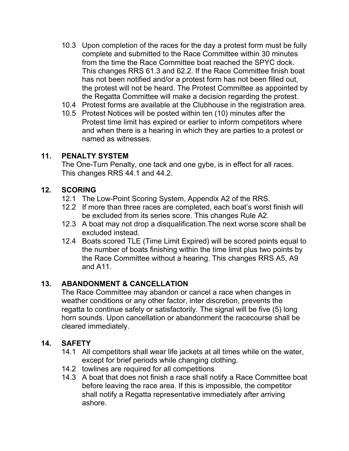- 10.3 Upon completion of the races for the day a protest form must be fully complete and submitted to the Race Committee within 30 minutes from the time the Race Committee boat reached the SPYC dock. This changes RRS 61.3 and 62.2. If the Race Committee finish boat has not been notified and/or a protest form has not been filled out, the protest will not be heard. The Protest Committee as appointed by the Regatta Committee will make a decision regarding the protest.
- 10.4 Protest forms are available at the Clubhouse in the registration area.
- 10.5 Protest Notices will be posted within ten (10) minutes after the Protest time limit has expired or earlier to inform competitors where and when there is a hearing in which they are parties to a protest or named as witnesses.

# **11. PENALTY SYSTEM**

The One-Turn Penalty, one tack and one gybe, is in effect for all races. This changes RRS 44.1 and 44.2.

### **12. SCORING**

- 12.1 The Low-Point Scoring System, Appendix A2 of the RRS.
- 12.2 If more than three races are completed, each boat's worst finish will be excluded from its series score. This changes Rule A2.
- 12.3 A boat may not drop a disqualification.The next worse score shall be excluded instead.
- 12.4 Boats scored TLE (Time Limit Expired) will be scored points equal to the number of boats finishing within the time limit plus two points by the Race Committee without a hearing. This changes RRS A5, A9 and A11.

### **13. ABANDONMENT & CANCELLATION**

The Race Committee may abandon or cancel a race when changes in weather conditions or any other factor, inter discretion, prevents the regatta to continue safely or satisfactorily. The signal will be five (5) long horn sounds. Upon cancellation or abandonment the racecourse shall be cleared immediately.

### **14. SAFETY**

- 14.1 All competitors shall wear life jackets at all times while on the water, except for brief periods while changing clothing.
- 14.2 towlines are required for all competitions
- 14.3 A boat that does not finish a race shall notify a Race Committee boat before leaving the race area. If this is impossible, the competitor shall notify a Regatta representative immediately after arriving ashore.